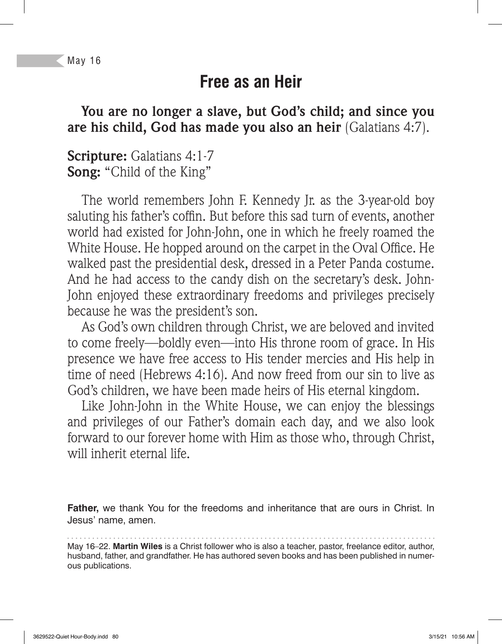### **Free as an Heir**

**You are no longer a slave, but God's child; and since you are his child, God has made you also an heir** (Galatians 4:7).

**Scripture:** Galatians 4:1-7 **Song:** "Child of the King"

The world remembers John F. Kennedy Jr. as the 3-year-old boy saluting his father's coffin. But before this sad turn of events, another world had existed for John-John, one in which he freely roamed the White House. He hopped around on the carpet in the Oval Office. He walked past the presidential desk, dressed in a Peter Panda costume. And he had access to the candy dish on the secretary's desk. John-John enjoyed these extraordinary freedoms and privileges precisely because he was the president's son.

As God's own children through Christ, we are beloved and invited to come freely—boldly even—into His throne room of grace. In His presence we have free access to His tender mercies and His help in time of need (Hebrews 4:16). And now freed from our sin to live as God's children, we have been made heirs of His eternal kingdom.

Like John-John in the White House, we can enjoy the blessings and privileges of our Father's domain each day, and we also look forward to our forever home with Him as those who, through Christ, will inherit eternal life.

**Father,** we thank You for the freedoms and inheritance that are ours in Christ. In Jesus' name, amen.

May 16–22. **Martin Wiles** is a Christ follower who is also a teacher, pastor, freelance editor, author, husband, father, and grandfather. He has authored seven books and has been published in numerous publications.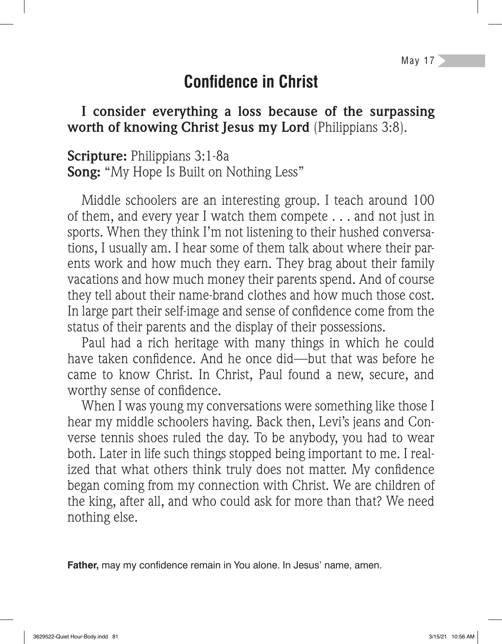## **Confidence in Christ**

**I consider everything a loss because of the surpassing worth of knowing Christ Jesus my Lord** (Philippians 3:8).

**Scripture:** Philippians 3:1-8a **Song:** "My Hope Is Built on Nothing Less"

Middle schoolers are an interesting group. I teach around 100 of them, and every year I watch them compete . . . and not just in sports. When they think I'm not listening to their hushed conversations, I usually am. I hear some of them talk about where their parents work and how much they earn. They brag about their family vacations and how much money their parents spend. And of course they tell about their name-brand clothes and how much those cost. In large part their self-image and sense of confidence come from the status of their parents and the display of their possessions.

Paul had a rich heritage with many things in which he could have taken confidence. And he once did—but that was before he came to know Christ. In Christ, Paul found a new, secure, and worthy sense of confidence.

When I was young my conversations were something like those I hear my middle schoolers having. Back then, Levi's jeans and Converse tennis shoes ruled the day. To be anybody, you had to wear both. Later in life such things stopped being important to me. I realized that what others think truly does not matter. My confidence began coming from my connection with Christ. We are children of the king, after all, and who could ask for more than that? We need nothing else.

**Father,** may my confidence remain in You alone. In Jesus' name, amen.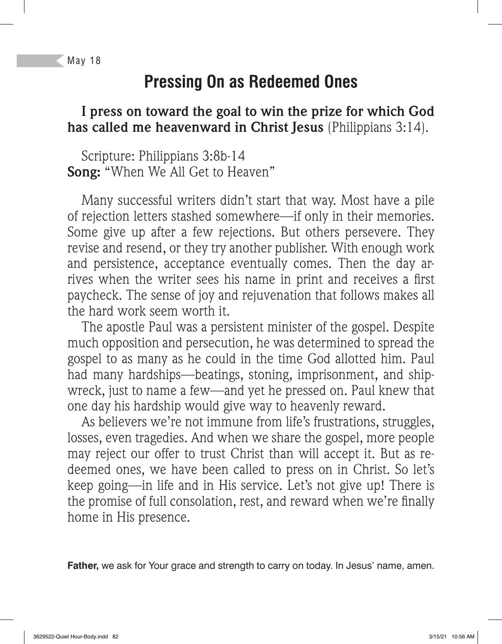# **Pressing On as Redeemed Ones**

**I press on toward the goal to win the prize for which God has called me heavenward in Christ Jesus** (Philippians 3:14).

Scripture: Philippians 3:8b-14 **Song:** "When We All Get to Heaven"

Many successful writers didn't start that way. Most have a pile of rejection letters stashed somewhere—if only in their memories. Some give up after a few rejections. But others persevere. They revise and resend, or they try another publisher. With enough work and persistence, acceptance eventually comes. Then the day arrives when the writer sees his name in print and receives a first paycheck. The sense of joy and rejuvenation that follows makes all the hard work seem worth it.

The apostle Paul was a persistent minister of the gospel. Despite much opposition and persecution, he was determined to spread the gospel to as many as he could in the time God allotted him. Paul had many hardships—beatings, stoning, imprisonment, and shipwreck, just to name a few—and yet he pressed on. Paul knew that one day his hardship would give way to heavenly reward.

As believers we're not immune from life's frustrations, struggles, losses, even tragedies. And when we share the gospel, more people may reject our offer to trust Christ than will accept it. But as redeemed ones, we have been called to press on in Christ. So let's keep going—in life and in His service. Let's not give up! There is the promise of full consolation, rest, and reward when we're finally home in His presence.

**Father,** we ask for Your grace and strength to carry on today. In Jesus' name, amen.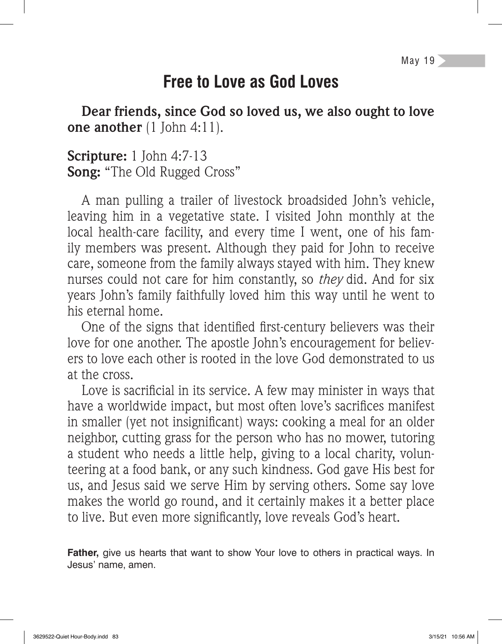### **Free to Love as God Loves**

**Dear friends, since God so loved us, we also ought to love one another** (1 John 4:11).

**Scripture:** 1 John 4:7-13 **Song:** "The Old Rugged Cross"

A man pulling a trailer of livestock broadsided John's vehicle, leaving him in a vegetative state. I visited John monthly at the local health-care facility, and every time I went, one of his family members was present. Although they paid for John to receive care, someone from the family always stayed with him. They knew nurses could not care for him constantly, so *they* did. And for six years John's family faithfully loved him this way until he went to his eternal home.

One of the signs that identified first-century believers was their love for one another. The apostle John's encouragement for believers to love each other is rooted in the love God demonstrated to us at the cross.

Love is sacrificial in its service. A few may minister in ways that have a worldwide impact, but most often love's sacrifices manifest in smaller (yet not insignificant) ways: cooking a meal for an older neighbor, cutting grass for the person who has no mower, tutoring a student who needs a little help, giving to a local charity, volunteering at a food bank, or any such kindness. God gave His best for us, and Jesus said we serve Him by serving others. Some say love makes the world go round, and it certainly makes it a better place to live. But even more significantly, love reveals God's heart.

**Father,** give us hearts that want to show Your love to others in practical ways. In Jesus' name, amen.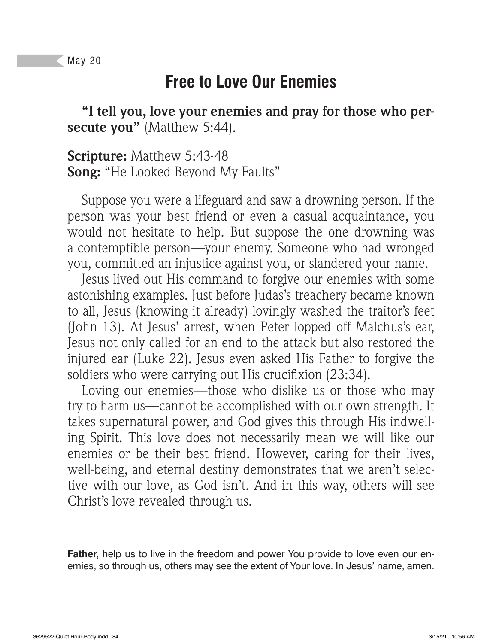May 20

# **Free to Love Our Enemies**

**"I tell you, love your enemies and pray for those who per**secute you" (Matthew 5:44).

**Scripture:** Matthew 5:43-48 **Song:** "He Looked Beyond My Faults"

Suppose you were a lifeguard and saw a drowning person. If the person was your best friend or even a casual acquaintance, you would not hesitate to help. But suppose the one drowning was a contemptible person—your enemy. Someone who had wronged you, committed an injustice against you, or slandered your name.

Jesus lived out His command to forgive our enemies with some astonishing examples. Just before Judas's treachery became known to all, Jesus (knowing it already) lovingly washed the traitor's feet (John 13). At Jesus' arrest, when Peter lopped off Malchus's ear, Jesus not only called for an end to the attack but also restored the injured ear (Luke 22). Jesus even asked His Father to forgive the soldiers who were carrying out His crucifixion (23:34).

Loving our enemies—those who dislike us or those who may try to harm us—cannot be accomplished with our own strength. It takes supernatural power, and God gives this through His indwelling Spirit. This love does not necessarily mean we will like our enemies or be their best friend. However, caring for their lives, well-being, and eternal destiny demonstrates that we aren't selective with our love, as God isn't. And in this way, others will see Christ's love revealed through us.

**Father,** help us to live in the freedom and power You provide to love even our enemies, so through us, others may see the extent of Your love. In Jesus' name, amen.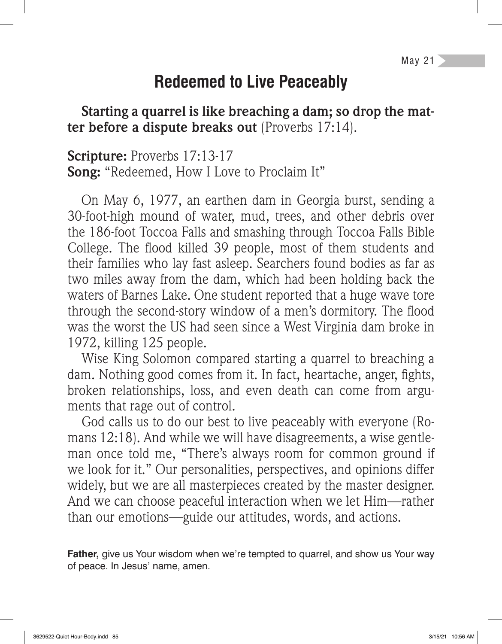### **Redeemed to Live Peaceably**

**Starting a quarrel is like breaching a dam; so drop the matter before a dispute breaks out** (Proverbs 17:14).

**Scripture:** Proverbs 17:13-17 **Song:** "Redeemed, How I Love to Proclaim It"

On May 6, 1977, an earthen dam in Georgia burst, sending a 30-foot-high mound of water, mud, trees, and other debris over the 186-foot Toccoa Falls and smashing through Toccoa Falls Bible College. The flood killed 39 people, most of them students and their families who lay fast asleep. Searchers found bodies as far as two miles away from the dam, which had been holding back the waters of Barnes Lake. One student reported that a huge wave tore through the second-story window of a men's dormitory. The flood was the worst the US had seen since a West Virginia dam broke in 1972, killing 125 people.

Wise King Solomon compared starting a quarrel to breaching a dam. Nothing good comes from it. In fact, heartache, anger, fights, broken relationships, loss, and even death can come from arguments that rage out of control.

God calls us to do our best to live peaceably with everyone (Romans 12:18). And while we will have disagreements, a wise gentleman once told me, "There's always room for common ground if we look for it." Our personalities, perspectives, and opinions differ widely, but we are all masterpieces created by the master designer. And we can choose peaceful interaction when we let Him—rather than our emotions—guide our attitudes, words, and actions.

**Father,** give us Your wisdom when we're tempted to quarrel, and show us Your way of peace. In Jesus' name, amen.